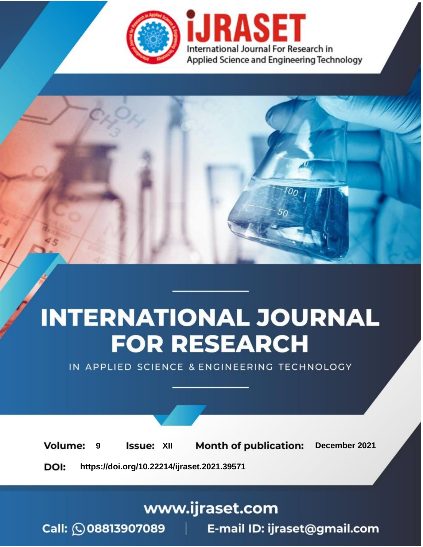

# **INTERNATIONAL JOURNAL FOR RESEARCH**

IN APPLIED SCIENCE & ENGINEERING TECHNOLOGY

**Month of publication: Volume: Issue: XII** December 2021 9 DOI: https://doi.org/10.22214/ijraset.2021.39571

www.ijraset.com

Call: 008813907089 | E-mail ID: ijraset@gmail.com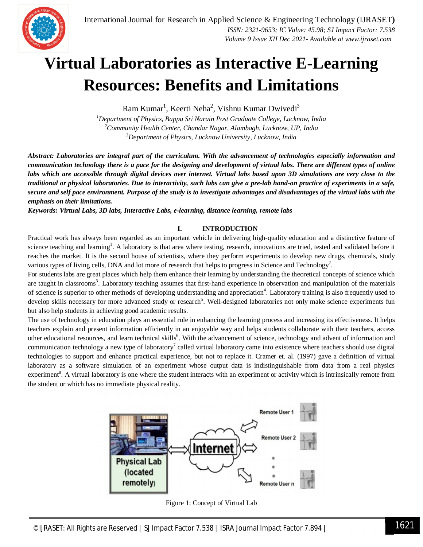

## **Virtual Laboratories as Interactive E-Learning Resources: Benefits and Limitations**

 $Ram Kumar<sup>1</sup>$ , Keerti Neha<sup>2</sup>, Vishnu Kumar Dwivedi<sup>3</sup>

*<sup>1</sup>Department of Physics, Bappa Sri Narain Post Graduate College, Lucknow, India <sup>2</sup>Community Health Center, Chandar Nagar, Alambagh, Lucknow, UP, India <sup>3</sup>Department of Physics, Lucknow University, Lucknow, India*

*Abstract: Laboratories are integral part of the curriculum. With the advancement of technologies especially information and communication technology there is a pace for the designing and development of virtual labs. There are different types of online labs which are accessible through digital devices over internet. Virtual labs based upon 3D simulations are very close to the traditional or physical laboratories. Due to interactivity, such labs can give a pre-lab hand-on practice of experiments in a safe, secure and self pace environment. Purpose of the study is to investigate advantages and disadvantages of the virtual labs with the emphasis on their limitations.*

*Keywords: Virtual Labs, 3D labs, Interactive Labs, e-learning, distance learning, remote labs*

#### **I. INTRODUCTION**

Practical work has always been regarded as an important vehicle in delivering high-quality education and a distinctive feature of science teaching and learning<sup>1</sup>. A laboratory is that area where testing, research, innovations are tried, tested and validated before it reaches the market. It is the second house of scientists, where they perform experiments to develop new drugs, chemicals, study various types of living cells, DNA and lot more of research that helps to progress in Science and Technology<sup>2</sup>.

For students labs are great places which help them enhance their learning by understanding the theoretical concepts of science which are taught in classrooms<sup>3</sup>. Laboratory teaching assumes that first-hand experience in observation and manipulation of the materials of science is superior to other methods of developing understanding and appreciation<sup>4</sup>. Laboratory training is also frequently used to develop skills necessary for more advanced study or research<sup>5</sup>. Well-designed laboratories not only make science experiments fun but also help students in achieving good academic results.

The use of technology in education plays an essential role in enhancing the learning process and increasing its effectiveness. It helps teachers explain and present information efficiently in an enjoyable way and helps students collaborate with their teachers, access other educational resources, and learn technical skills<sup>6</sup>. With the advancement of science, technology and advent of information and communication technology a new type of laboratory<sup>7</sup> called virtual laboratory came into existence where teachers should use digital technologies to support and enhance practical experience, but not to replace it. Cramer et. al. (1997) gave a definition of virtual laboratory as a software simulation of an experiment whose output data is indistinguishable from data from a real physics experiment<sup>8</sup>. A virtual laboratory is one where the student interacts with an experiment or activity which is intrinsically remote from the student or which has no immediate physical reality.



Figure 1: Concept of Virtual Lab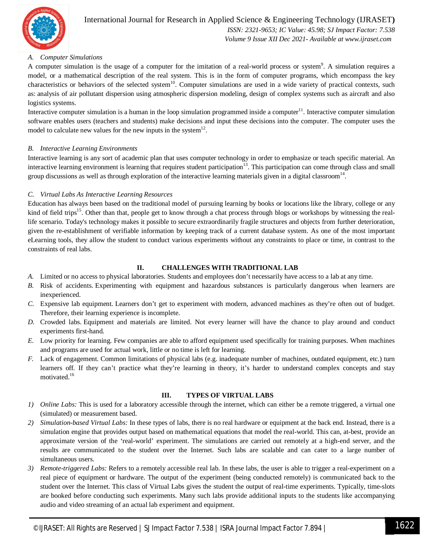

### International Journal for Research in Applied Science & Engineering Technology (IJRASET**)**  *ISSN: 2321-9653; IC Value: 45.98; SJ Impact Factor: 7.538*

 *Volume 9 Issue XII Dec 2021- Available at www.ijraset.com*

#### *A. Computer Simulations*

A computer simulation is the usage of a computer for the imitation of a real-world process or system<sup>9</sup>. A simulation requires a model, or a mathematical description of the real system. This is in the form of computer programs, which encompass the key characteristics or behaviors of the selected system $10$ . Computer simulations are used in a wide variety of practical contexts, such as: analysis of air pollutant dispersion using atmospheric dispersion modeling, design of complex systems such as aircraft and also logistics systems.

Interactive computer simulation is a human in the loop simulation programmed inside a computer<sup>11</sup>. Interactive computer simulation software enables users (teachers and students) make decisions and input these decisions into the computer. The computer uses the model to calculate new values for the new inputs in the system $^{12}$ .

#### *B. Interactive Learning Environments*

Interactive learning is any sort of academic plan that uses computer technology in order to emphasize or teach specific material. An interactive learning environment is learning that requires student participation<sup>13</sup>. This participation can come through class and small group discussions as well as through exploration of the interactive learning materials given in a digital classroom $^{14}$ .

#### *C. Virtual Labs As Interactive Learning Resources*

Education has always been based on the traditional model of pursuing learning by books or locations like the library, college or any kind of field trips<sup>15</sup>. Other than that, people get to know through a chat process through blogs or workshops by witnessing the reallife scenario. Today's technology makes it possible to secure extraordinarily fragile structures and objects from further deterioration, given the re-establishment of verifiable information by keeping track of a current database system. As one of the most important eLearning tools, they allow the student to conduct various experiments without any constraints to place or time, in contrast to the constraints of real labs.

#### **II. CHALLENGES WITH TRADITIONAL LAB**

- *A.* Limited or no access to physical laboratories. Students and employees don't necessarily have access to a lab at any time.
- *B.* Risk of accidents. Experimenting with equipment and hazardous substances is particularly dangerous when learners are inexperienced.
- *C.* Expensive lab equipment. Learners don't get to experiment with modern, advanced machines as they're often out of budget. Therefore, their learning experience is incomplete.
- *D.* Crowded labs. Equipment and materials are limited. Not every learner will have the chance to play around and conduct experiments first-hand.
- *E.* Low priority for learning. Few companies are able to afford equipment used specifically for training purposes. When machines and programs are used for actual work, little or no time is left for learning.
- *F.* Lack of engagement. Common limitations of physical labs (e.g. inadequate number of machines, outdated equipment, etc.) turn learners off. If they can't practice what they're learning in theory, it's harder to understand complex concepts and stay motivated.<sup>16</sup>

#### **III. TYPES OF VIRTUAL LABS**

- *1) Online Labs:* This is used for a laboratory accessible through the internet, which can either be a remote triggered, a virtual one (simulated) or measurement based.
- *2) Simulation-based Virtual Labs:* In these types of labs, there is no real hardware or equipment at the back end. Instead, there is a simulation engine that provides output based on mathematical equations that model the real-world. This can, at-best, provide an approximate version of the 'real-world' experiment. The simulations are carried out remotely at a high-end server, and the results are communicated to the student over the Internet. Such labs are scalable and can cater to a large number of simultaneous users.
- *3) Remote-triggered Labs:* Refers to a remotely accessible real lab. In these labs, the user is able to trigger a real-experiment on a real piece of equipment or hardware. The output of the experiment (being conducted remotely) is communicated back to the student over the Internet. This class of Virtual Labs gives the student the output of real-time experiments. Typically, time-slots are booked before conducting such experiments. Many such labs provide additional inputs to the students like accompanying audio and video streaming of an actual lab experiment and equipment.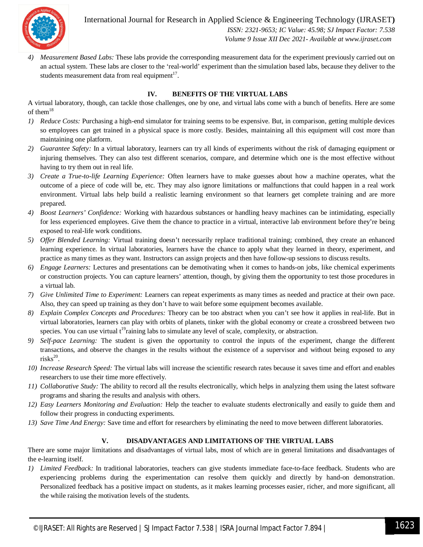

International Journal for Research in Applied Science & Engineering Technology (IJRASET**)**  *ISSN: 2321-9653; IC Value: 45.98; SJ Impact Factor: 7.538 Volume 9 Issue XII Dec 2021- Available at www.ijraset.com*

*4) Measurement Based Labs:* These labs provide the corresponding measurement data for the experiment previously carried out on an actual system. These labs are closer to the 'real-world' experiment than the simulation based labs, because they deliver to the students measurement data from real equipment<sup>17</sup>.

#### **IV. BENEFITS OF THE VIRTUAL LABS**

A virtual laboratory, though, can tackle those challenges, one by one, and virtual labs come with a bunch of benefits. Here are some of them $^{18}$ 

- *1) Reduce Costs:* Purchasing a high-end simulator for training seems to be expensive. But, in comparison, getting multiple devices so employees can get trained in a physical space is more costly. Besides, maintaining all this equipment will cost more than maintaining one platform.
- *2) Guarantee Safety:* In a virtual laboratory, learners can try all kinds of experiments without the risk of damaging equipment or injuring themselves. They can also test different scenarios, compare, and determine which one is the most effective without having to try them out in real life.
- *3) Create a True-to-life Learning Experience:* Often learners have to make guesses about how a machine operates, what the outcome of a piece of code will be, etc. They may also ignore limitations or malfunctions that could happen in a real work environment. Virtual labs help build a realistic learning environment so that learners get complete training and are more prepared.
- *4) Boost Learners' Confidence:* Working with hazardous substances or handling heavy machines can be intimidating, especially for less experienced employees. Give them the chance to practice in a virtual, interactive lab environment before they're being exposed to real-life work conditions.
- *5) Offer Blended Learning:* Virtual training doesn't necessarily replace traditional training; combined, they create an enhanced learning experience. In virtual laboratories, learners have the chance to apply what they learned in theory, experiment, and practice as many times as they want. Instructors can assign projects and then have follow-up sessions to discuss results.
- *6) Engage Learners:* Lectures and presentations can be demotivating when it comes to hands-on jobs, like chemical experiments or construction projects. You can capture learners' attention, though, by giving them the opportunity to test those procedures in a virtual lab.
- *7) Give Unlimited Time to Experiment:* Learners can repeat experiments as many times as needed and practice at their own pace. Also, they can speed up training as they don't have to wait before some equipment becomes available.
- *8) Explain Complex Concepts and Procedures:* Theory can be too abstract when you can't see how it applies in real-life. But in virtual laboratories, learners can play with orbits of planets, tinker with the global economy or create a crossbreed between two species. You can use virtual  $t^{19}$ raining labs to simulate any level of scale, complexity, or abstraction.
- *9) Self-pace Learning:* The student is given the opportunity to control the inputs of the experiment, change the different transactions, and observe the changes in the results without the existence of a supervisor and without being exposed to any  $\text{risks}^{20}$ .
- *10) Increase Research Speed:* The virtual labs will increase the scientific research rates because it saves time and effort and enables researchers to use their time more effectively.
- *11) Collaborative Study:* The ability to record all the results electronically, which helps in analyzing them using the latest software programs and sharing the results and analysis with others.
- *12) Easy Learners Monitoring and Evaluation:* Help the teacher to evaluate students electronically and easily to guide them and follow their progress in conducting experiments.
- *13) Save Time And Energy:* Save time and effort for researchers by eliminating the need to move between different laboratories.

#### **V. DISADVANTAGES AND LIMITATIONS OF THE VIRTUAL LABS**

There are some major limitations and disadvantages of virtual labs, most of which are in general limitations and disadvantages of the e-learning itself.

*1) Limited Feedback:* In traditional laboratories, teachers can give students immediate face-to-face feedback. Students who are experiencing problems during the experimentation can resolve them quickly and directly by hand-on demonstration. Personalized feedback has a positive impact on students, as it makes learning processes easier, richer, and more significant, all the while raising the motivation levels of the students.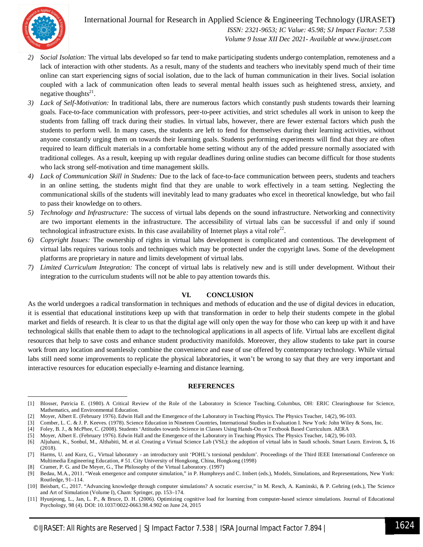

1

### International Journal for Research in Applied Science & Engineering Technology (IJRASET**)**

 *ISSN: 2321-9653; IC Value: 45.98; SJ Impact Factor: 7.538 Volume 9 Issue XII Dec 2021- Available at www.ijraset.com*

- *2) Social Isolation:* The virtual labs developed so far tend to make participating students undergo contemplation, remoteness and a lack of interaction with other students. As a result, many of the students and teachers who inevitably spend much of their time online can start experiencing signs of social isolation, due to the lack of human communication in their lives. Social isolation coupled with a lack of communication often leads to several mental health issues such as heightened stress, anxiety, and negative thoughts<sup>21</sup>.
- *3) Lack of Self-Motivation:* In traditional labs, there are numerous factors which constantly push students towards their learning goals. Face-to-face communication with professors, peer-to-peer activities, and strict schedules all work in unison to keep the students from falling off track during their studies. In virtual labs, however, there are fewer external factors which push the students to perform well. In many cases, the students are left to fend for themselves during their learning activities, without anyone constantly urging them on towards their learning goals. Students performing experiments will find that they are often required to learn difficult materials in a comfortable home setting without any of the added pressure normally associated with traditional colleges. As a result, keeping up with regular deadlines during online studies can become difficult for those students who lack strong self-motivation and time management skills.
- *4) Lack of Communication Skill in Students:* Due to the lack of face-to-face communication between peers, students and teachers in an online setting, the students might find that they are unable to work effectively in a team setting. Neglecting the communicational skills of the students will inevitably lead to many graduates who excel in theoretical knowledge, but who fail to pass their knowledge on to others.
- *5) Technology and Infrastructure:* The success of virtual labs depends on the sound infrastructure. Networking and connectivity are two important elements in the infrastructure. The accessibility of virtual labs can be successful if and only if sound technological infrastructure exists. In this case availability of Internet plays a vital role<sup>22</sup>.
- *6) Copyright Issues:* The ownership of rights in virtual labs development is complicated and contentious. The development of virtual labs requires various tools and techniques which may be protected under the copyright laws. Some of the development platforms are proprietary in nature and limits development of virtual labs.
- *7) Limited Curriculum Integration:* The concept of virtual labs is relatively new and is still under development. Without their integration to the curriculum students will not be able to pay attention towards this.

#### **VI. CONCLUSION**

As the world undergoes a radical transformation in techniques and methods of education and the use of digital devices in education, it is essential that educational institutions keep up with that transformation in order to help their students compete in the global market and fields of research. It is clear to us that the digital age will only open the way for those who can keep up with it and have technological skills that enable them to adapt to the technological applications in all aspects of life. Virtual labs are excellent digital resources that help to save costs and enhance student productivity manifolds. Moreover, they allow students to take part in course work from any location and seamlessly combine the convenience and ease of use offered by contemporary technology. While virtual labs still need some improvements to replicate the physical laboratories, it won't be wrong to say that they are very important and interactive resources for education especially e-learning and distance learning.

#### **REFERENCES**

<sup>[1]</sup> Blosser, Patricia E. (1980). A Critical Review of the Role of the Laboratory in Science Teaching. Columbus, OH: ERIC Clearinghouse for Science, Mathematics, and Environmental Education.

<sup>[2]</sup> Moyer, Albert E. (February 1976). Edwin Hall and the Emergence of the Laboratory in Teaching Physics. The Physics Teacher, 14(2), 96-103.

<sup>[3]</sup> Comber, L. C. & J. P. Keeves. (1978). Science Education in Nineteen Countries, International Studies in Evaluation I. New York: John Wiley & Sons, Inc.

<sup>[4]</sup> Foley, B. J., & McPhee, C. (2008). Students 'Attitudes towards Science in Classes Using Hands-On or Textbook Based Curriculum. AERA

<sup>[5]</sup> Moyer, Albert E. (February 1976). Edwin Hall and the Emergence of the Laboratory in Teaching Physics. The Physics Teacher, 14(2), 96-103.

<sup>[6]</sup> Aljuhani, K., Sonbul, M., Althabiti, M. et al. Creating a Virtual Science Lab (VSL): the adoption of virtual labs in Saudi schools. Smart Learn. Environ. **5,** 16 (2018).

<sup>[7]</sup> Harms, U. and Kurz, G., Virtual laboratory - an introductory unit 'POHL's torsional pendulum'. Proceedings of the Third IEEE International Conference on Multimedia Engineering Education, # 51. City University of Hongkong, China, Hongkong (1998)

<sup>[8]</sup> Cramer, P. G. and De Meyer, G., The Philosophy of the Virtual Laboratory. (1997)

<sup>[9]</sup> Bedau, M.A., 2011. "Weak emergence and computer simulation," in P. Humphreys and C. Imbert (eds.), Models, Simulations, and Representations, New York: Routledge, 91–114.

<sup>[10]</sup> Beisbart, C., 2017. "Advancing knowledge through computer simulations? A socratic exercise," in M. Resch, A. Kaminski, & P. Gehring (eds.), The Science and Art of Simulation (Volume I), Cham: Springer, pp. 153–174.

<sup>[11]</sup> Hyunjeong, L., Jan, L. P., & Bruce, D. H. (2006). Optimizing cognitive load for learning from computer-based science simulations. Journal of Educational Psychology, 98 (4). DOI: 10.1037/0022-0663.98.4.902 on June 24, 2015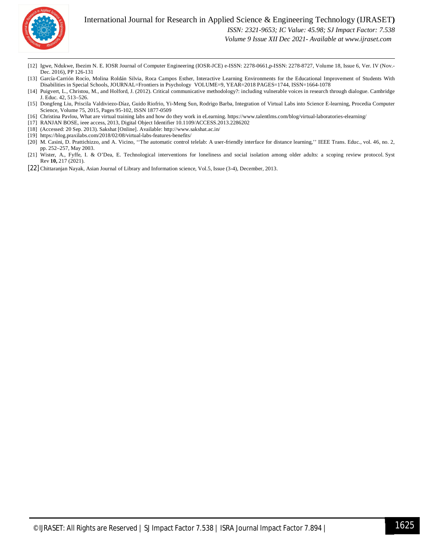

- $\overline{a}$ [12] Igwe, Ndukwe, Ibezim N. E. IOSR Journal of Computer Engineering (IOSR-JCE) e-ISSN: 2278-0661,p-ISSN: 2278-8727, Volume 18, Issue 6, Ver. IV (Nov.- Dec. 2016), PP 126-131
- [13] García-Carrión Rocío, Molina Roldán Silvia, Roca Campos Esther, Interactive Learning Environments for the Educational Improvement of Students With Disabilities in Special Schools, JOURNAL=Frontiers in Psychology VOLUME=9, YEAR=2018 PAGES=1744, ISSN=1664-1078
- [14] Puigvert, L., Christou, M., and Holford, J. (2012). Critical communicative methodology?: including vulnerable voices in research through dialogue. Cambridge J. Educ. 42, 513–526.
- [15] Dongfeng Liu, Priscila Valdiviezo-Díaz, Guido Riofrio, Yi-Meng Sun, Rodrigo Barba, Integration of Virtual Labs into Science E-learning, Procedia Computer Science, Volume 75, 2015, Pages 95-102, ISSN 1877-0509
- [16] Christina Pavlou, What are virtual training labs and how do they work in eLearning. https://www.talentlms.com/blog/virtual-laboratories-elearning/
- [17] RANJAN BOSE, ieee access, 2013, Digital Object Identifier 10.1109/ACCESS.2013.2286202
- [18] (Accessed: 20 Sep. 2013). Sakshat [Online]. Available: http://www.sakshat.ac.in/
- [19] https://blog.praxilabs.com/2018/02/08/virtual-labs-features-benefits/
- [20] M. Casini, D. Prattichizzo, and A. Vicino, ''The automatic control telelab: A user-friendly interface for distance learning,'' IEEE Trans. Educ., vol. 46, no. 2, pp. 252–257, May 2003.
- [21] Wister, A., Fyffe, I. & O'Dea, E. Technological interventions for loneliness and social isolation among older adults: a scoping review protocol. Syst Rev **10,** 217 (2021).
- [22] Chittaranjan Nayak, Asian Journal of Library and Information science, Vol.5, Issue (3-4), December, 2013.